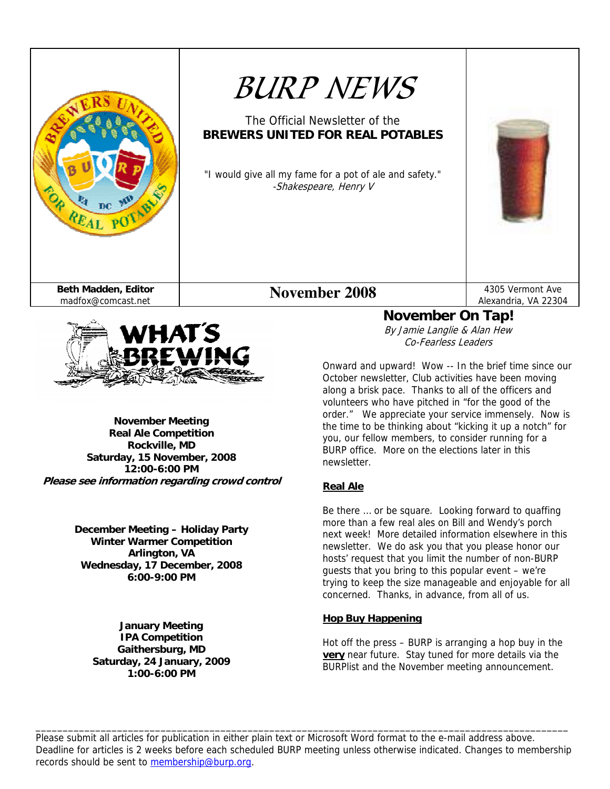



**November Meeting Real Ale Competition Rockville, MD Saturday, 15 November, 2008 12:00-6:00 PM Please see information regarding crowd control** 

> **December Meeting – Holiday Party Winter Warmer Competition Arlington, VA Wednesday, 17 December, 2008 6:00-9:00 PM**

> > **January Meeting IPA Competition Gaithersburg, MD Saturday, 24 January, 2009 1:00-6:00 PM**

**November On Tap!**  By Jamie Langlie & Alan Hew Co-Fearless Leaders

Onward and upward! Wow -- In the brief time since our October newsletter, Club activities have been moving along a brisk pace. Thanks to all of the officers and volunteers who have pitched in "for the good of the order." We appreciate your service immensely. Now is the time to be thinking about "kicking it up a notch" for you, our fellow members, to consider running for a BURP office. More on the elections later in this newsletter.

#### **Real Ale**

Be there … or be square. Looking forward to quaffing more than a few real ales on Bill and Wendy's porch next week! More detailed information elsewhere in this newsletter. We do ask you that you please honor our hosts' request that you limit the number of non-BURP guests that you bring to this popular event – we're trying to keep the size manageable and enjoyable for all concerned. Thanks, in advance, from all of us.

#### **Hop Buy Happening**

Hot off the press – BURP is arranging a hop buy in the **very** near future. Stay tuned for more details via the BURPlist and the November meeting announcement.

Please submit all articles for publication in either plain text or Microsoft Word format to the e-mail address above. Deadline for articles is 2 weeks before each scheduled BURP meeting unless otherwise indicated. Changes to membership records should be sent to membership@burp.org.

\_\_\_\_\_\_\_\_\_\_\_\_\_\_\_\_\_\_\_\_\_\_\_\_\_\_\_\_\_\_\_\_\_\_\_\_\_\_\_\_\_\_\_\_\_\_\_\_\_\_\_\_\_\_\_\_\_\_\_\_\_\_\_\_\_\_\_\_\_\_\_\_\_\_\_\_\_\_\_\_\_\_\_\_\_\_\_\_\_\_\_\_\_\_\_\_\_\_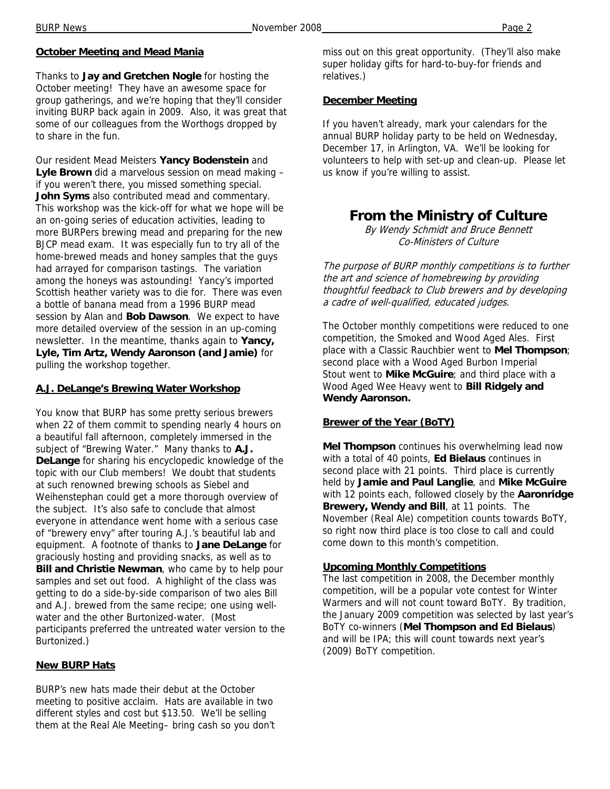#### **October Meeting and Mead Mania**

Thanks to **Jay and Gretchen Nogle** for hosting the October meeting! They have an awesome space for group gatherings, and we're hoping that they'll consider inviting BURP back again in 2009. Also, it was great that some of our colleagues from the Worthogs dropped by to share in the fun.

Our resident Mead Meisters **Yancy Bodenstein** and **Lyle Brown** did a marvelous session on mead making – if you weren't there, you missed something special. **John Syms** also contributed mead and commentary. This workshop was the kick-off for what we hope will be an on-going series of education activities, leading to more BURPers brewing mead and preparing for the new BJCP mead exam. It was especially fun to try all of the home-brewed meads and honey samples that the guys had arrayed for comparison tastings. The variation among the honeys was astounding! Yancy's imported Scottish heather variety was to die for. There was even a bottle of banana mead from a 1996 BURP mead session by Alan and **Bob Dawson**. We expect to have more detailed overview of the session in an up-coming newsletter. In the meantime, thanks again to **Yancy, Lyle, Tim Artz, Wendy Aaronson (and Jamie)** for pulling the workshop together.

#### **A.J. DeLange's Brewing Water Workshop**

You know that BURP has some pretty serious brewers when 22 of them commit to spending nearly 4 hours on a beautiful fall afternoon, completely immersed in the subject of "Brewing Water." Many thanks to **A.J. DeLange** for sharing his encyclopedic knowledge of the topic with our Club members! We doubt that students at such renowned brewing schools as Siebel and Weihenstephan could get a more thorough overview of the subject. It's also safe to conclude that almost everyone in attendance went home with a serious case of "brewery envy" after touring A.J.'s beautiful lab and equipment. A footnote of thanks to **Jane DeLange** for graciously hosting and providing snacks, as well as to **Bill and Christie Newman**, who came by to help pour samples and set out food. A highlight of the class was getting to do a side-by-side comparison of two ales Bill and A.J. brewed from the same recipe; one using wellwater and the other Burtonized-water. (Most participants preferred the untreated water version to the Burtonized.)

#### **New BURP Hats**

BURP's new hats made their debut at the October meeting to positive acclaim. Hats are available in two different styles and cost but \$13.50. We'll be selling them at the Real Ale Meeting– bring cash so you don't miss out on this great opportunity. (They'll also make super holiday gifts for hard-to-buy-for friends and relatives.)

#### **December Meeting**

If you haven't already, mark your calendars for the annual BURP holiday party to be held on Wednesday, December 17, in Arlington, VA. We'll be looking for volunteers to help with set-up and clean-up. Please let us know if you're willing to assist.

## **From the Ministry of Culture**

By Wendy Schmidt and Bruce Bennett Co-Ministers of Culture

The purpose of BURP monthly competitions is to further the art and science of homebrewing by providing thoughtful feedback to Club brewers and by developing a cadre of well-qualified, educated judges.

The October monthly competitions were reduced to one competition, the Smoked and Wood Aged Ales. First place with a Classic Rauchbier went to **Mel Thompson**; second place with a Wood Aged Burbon Imperial Stout went to **Mike McGuire**; and third place with a Wood Aged Wee Heavy went to **Bill Ridgely and Wendy Aaronson.** 

#### **Brewer of the Year (BoTY)**

**Mel Thompson** continues his overwhelming lead now with a total of 40 points, **Ed Bielaus** continues in second place with 21 points. Third place is currently held by **Jamie and Paul Langlie**, and **Mike McGuire** with 12 points each, followed closely by the **Aaronridge Brewery, Wendy and Bill**, at 11 points. The November (Real Ale) competition counts towards BoTY, so right now third place is too close to call and could come down to this month's competition.

#### **Upcoming Monthly Competitions**

The last competition in 2008, the December monthly competition, will be a popular vote contest for Winter Warmers and will not count toward BoTY. By tradition, the January 2009 competition was selected by last year's BoTY co-winners (**Mel Thompson and Ed Bielaus**) and will be IPA; this will count towards next year's (2009) BoTY competition.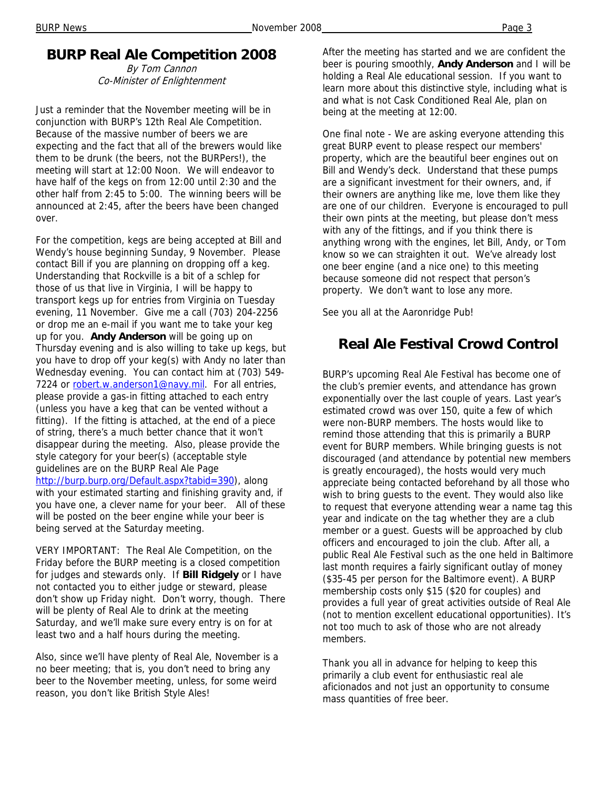## **BURP Real Ale Competition 2008**

By Tom Cannon Co-Minister of Enlightenment

Just a reminder that the November meeting will be in conjunction with BURP's 12th Real Ale Competition. Because of the massive number of beers we are expecting and the fact that all of the brewers would like them to be drunk (the beers, not the BURPers!), the meeting will start at 12:00 Noon. We will endeavor to have half of the kegs on from 12:00 until 2:30 and the other half from 2:45 to 5:00. The winning beers will be announced at 2:45, after the beers have been changed over.

For the competition, kegs are being accepted at Bill and Wendy's house beginning Sunday, 9 November. Please contact Bill if you are planning on dropping off a keg. Understanding that Rockville is a bit of a schlep for those of us that live in Virginia, I will be happy to transport kegs up for entries from Virginia on Tuesday evening, 11 November. Give me a call (703) 204-2256 or drop me an e-mail if you want me to take your keg up for you. **Andy Anderson** will be going up on Thursday evening and is also willing to take up kegs, but you have to drop off your keg(s) with Andy no later than Wednesday evening. You can contact him at (703) 549- 7224 or robert.w.anderson1@navy.mil. For all entries, please provide a gas-in fitting attached to each entry (unless you have a keg that can be vented without a fitting). If the fitting is attached, at the end of a piece of string, there's a much better chance that it won't disappear during the meeting. Also, please provide the style category for your beer(s) (acceptable style guidelines are on the BURP Real Ale Page http://burp.burp.org/Default.aspx?tabid=390), along with your estimated starting and finishing gravity and, if you have one, a clever name for your beer. All of these will be posted on the beer engine while your beer is being served at the Saturday meeting.

VERY IMPORTANT: The Real Ale Competition, on the Friday before the BURP meeting is a closed competition for judges and stewards only. If **Bill Ridgely** or I have not contacted you to either judge or steward, please don't show up Friday night. Don't worry, though. There will be plenty of Real Ale to drink at the meeting Saturday, and we'll make sure every entry is on for at least two and a half hours during the meeting.

Also, since we'll have plenty of Real Ale, November is a no beer meeting; that is, you don't need to bring any beer to the November meeting, unless, for some weird reason, you don't like British Style Ales!

After the meeting has started and we are confident the beer is pouring smoothly, **Andy Anderson** and I will be holding a Real Ale educational session. If you want to learn more about this distinctive style, including what is and what is not Cask Conditioned Real Ale, plan on being at the meeting at 12:00.

One final note - We are asking everyone attending this great BURP event to please respect our members' property, which are the beautiful beer engines out on Bill and Wendy's deck. Understand that these pumps are a significant investment for their owners, and, if their owners are anything like me, love them like they are one of our children. Everyone is encouraged to pull their own pints at the meeting, but please don't mess with any of the fittings, and if you think there is anything wrong with the engines, let Bill, Andy, or Tom know so we can straighten it out. We've already lost one beer engine (and a nice one) to this meeting because someone did not respect that person's property. We don't want to lose any more.

See you all at the Aaronridge Pub!

## **Real Ale Festival Crowd Control**

BURP's upcoming Real Ale Festival has become one of the club's premier events, and attendance has grown exponentially over the last couple of years. Last year's estimated crowd was over 150, quite a few of which were non-BURP members. The hosts would like to remind those attending that this is primarily a BURP event for BURP members. While bringing guests is not discouraged (and attendance by potential new members is greatly encouraged), the hosts would very much appreciate being contacted beforehand by all those who wish to bring guests to the event. They would also like to request that everyone attending wear a name tag this year and indicate on the tag whether they are a club member or a guest. Guests will be approached by club officers and encouraged to join the club. After all, a public Real Ale Festival such as the one held in Baltimore last month requires a fairly significant outlay of money (\$35-45 per person for the Baltimore event). A BURP membership costs only \$15 (\$20 for couples) and provides a full year of great activities outside of Real Ale (not to mention excellent educational opportunities). It's not too much to ask of those who are not already members.

Thank you all in advance for helping to keep this primarily a club event for enthusiastic real ale aficionados and not just an opportunity to consume mass quantities of free beer.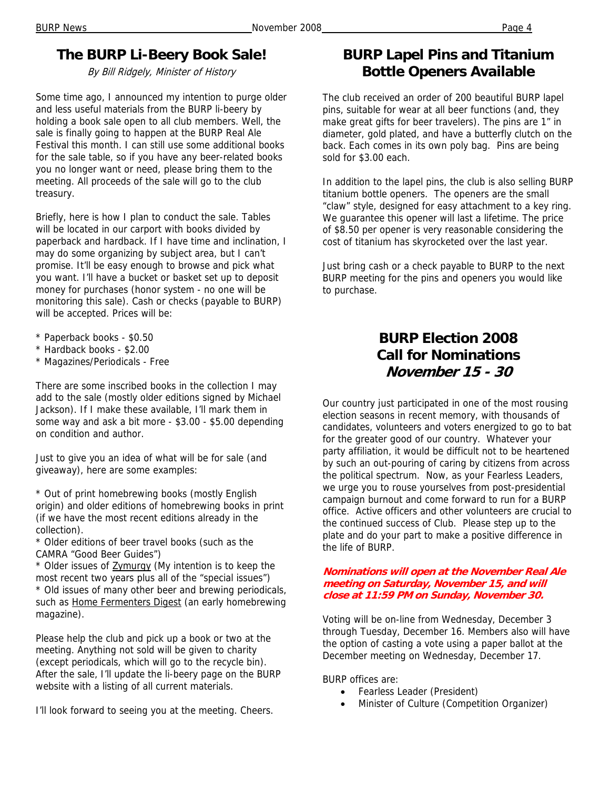## **The BURP Li-Beery Book Sale!**

By Bill Ridgely, Minister of History

Some time ago, I announced my intention to purge older and less useful materials from the BURP li-beery by holding a book sale open to all club members. Well, the sale is finally going to happen at the BURP Real Ale Festival this month. I can still use some additional books for the sale table, so if you have any beer-related books you no longer want or need, please bring them to the meeting. All proceeds of the sale will go to the club treasury.

Briefly, here is how I plan to conduct the sale. Tables will be located in our carport with books divided by paperback and hardback. If I have time and inclination, I may do some organizing by subject area, but I can't promise. It'll be easy enough to browse and pick what you want. I'll have a bucket or basket set up to deposit money for purchases (honor system - no one will be monitoring this sale). Cash or checks (payable to BURP) will be accepted. Prices will be:

- \* Paperback books \$0.50
- \* Hardback books \$2.00
- \* Magazines/Periodicals Free

There are some inscribed books in the collection I may add to the sale (mostly older editions signed by Michael Jackson). If I make these available, I'll mark them in some way and ask a bit more - \$3.00 - \$5.00 depending on condition and author.

Just to give you an idea of what will be for sale (and giveaway), here are some examples:

\* Out of print homebrewing books (mostly English origin) and older editions of homebrewing books in print (if we have the most recent editions already in the collection).

\* Older editions of beer travel books (such as the CAMRA "Good Beer Guides")

\* Older issues of Zymurgy (My intention is to keep the most recent two years plus all of the "special issues") \* Old issues of many other beer and brewing periodicals, such as Home Fermenters Digest (an early homebrewing magazine).

Please help the club and pick up a book or two at the meeting. Anything not sold will be given to charity (except periodicals, which will go to the recycle bin). After the sale, I'll update the li-beery page on the BURP website with a listing of all current materials.

I'll look forward to seeing you at the meeting. Cheers.

## **BURP Lapel Pins and Titanium Bottle Openers Available**

The club received an order of 200 beautiful BURP lapel pins, suitable for wear at all beer functions (and, they make great gifts for beer travelers). The pins are 1" in diameter, gold plated, and have a butterfly clutch on the back. Each comes in its own poly bag. Pins are being sold for \$3.00 each.

In addition to the lapel pins, the club is also selling BURP titanium bottle openers. The openers are the small "claw" style, designed for easy attachment to a key ring. We guarantee this opener will last a lifetime. The price of \$8.50 per opener is very reasonable considering the cost of titanium has skyrocketed over the last year.

Just bring cash or a check payable to BURP to the next BURP meeting for the pins and openers you would like to purchase.

## **BURP Election 2008 Call for Nominations November 15 - 30**

Our country just participated in one of the most rousing election seasons in recent memory, with thousands of candidates, volunteers and voters energized to go to bat for the greater good of our country. Whatever your party affiliation, it would be difficult not to be heartened by such an out-pouring of caring by citizens from across the political spectrum. Now, as your Fearless Leaders, we urge you to rouse yourselves from post-presidential campaign burnout and come forward to run for a BURP office. Active officers and other volunteers are crucial to the continued success of Club. Please step up to the plate and do your part to make a positive difference in the life of BURP.

#### **Nominations will open at the November Real Ale meeting on Saturday, November 15, and will close at 11:59 PM on Sunday, November 30.**

Voting will be on-line from Wednesday, December 3 through Tuesday, December 16. Members also will have the option of casting a vote using a paper ballot at the December meeting on Wednesday, December 17.

BURP offices are:

- Fearless Leader (President)
- Minister of Culture (Competition Organizer)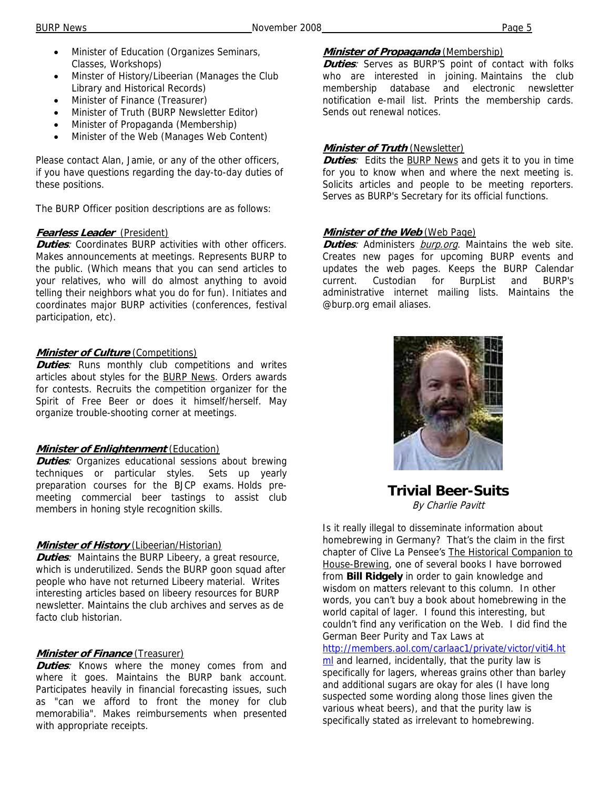- Minister of Education (Organizes Seminars, Classes, Workshops)
- Minster of History/Libeerian (Manages the Club Library and Historical Records)
- Minister of Finance (Treasurer)
- Minister of Truth (BURP Newsletter Editor)
- Minister of Propaganda (Membership)
- Minister of the Web (Manages Web Content)

Please contact Alan, Jamie, or any of the other officers, if you have questions regarding the day-to-day duties of these positions.

The BURP Officer position descriptions are as follows:

#### **Fearless Leader** (President)

*Duties:* Coordinates BURP activities with other officers. Makes announcements at meetings. Represents BURP to the public. (Which means that you can send articles to your relatives, who will do almost anything to avoid telling their neighbors what you do for fun). Initiates and coordinates major BURP activities (conferences, festival participation, etc).

#### *Minister of Culture* (Competitions)

**Duties**: Runs monthly club competitions and writes articles about styles for the BURP News. Orders awards for contests. Recruits the competition organizer for the Spirit of Free Beer or does it himself/herself. May organize trouble-shooting corner at meetings.

#### **Minister of Enlightenment** (Education)

**Duties**: Organizes educational sessions about brewing techniques or particular styles. Sets up yearly preparation courses for the BJCP exams. Holds premeeting commercial beer tastings to assist club members in honing style recognition skills.

#### **Minister of History** (Libeerian/Historian)

**Duties**: Maintains the BURP Libeery, a great resource, which is underutilized. Sends the BURP goon squad after people who have not returned Libeery material. Writes interesting articles based on libeery resources for BURP newsletter. Maintains the club archives and serves as de facto club historian.

#### **Minister of Finance** (Treasurer)

**Duties**: Knows where the money comes from and where it goes. Maintains the BURP bank account. Participates heavily in financial forecasting issues, such as "can we afford to front the money for club memorabilia". Makes reimbursements when presented with appropriate receipts.

#### **Minister of Propaganda** (Membership)

**Duties**: Serves as BURP'S point of contact with folks who are interested in joining. Maintains the club membership database and electronic newsletter notification e-mail list. Prints the membership cards. Sends out renewal notices.

#### **Minister of Truth** (Newsletter)

**Duties**: Edits the BURP News and gets it to you in time for you to know when and where the next meeting is. Solicits articles and people to be meeting reporters. Serves as BURP's Secretary for its official functions.

#### **Minister of the Web** (Web Page)

**Duties**: Administers burp.org. Maintains the web site. Creates new pages for upcoming BURP events and updates the web pages. Keeps the BURP Calendar current. Custodian for BurpList and BURP's administrative internet mailing lists. Maintains the @burp.org email aliases.



**Trivial Beer-Suits**  By Charlie Pavitt

Is it really illegal to disseminate information about homebrewing in Germany? That's the claim in the first chapter of Clive La Pensee's The Historical Companion to House-Brewing, one of several books I have borrowed from **Bill Ridgely** in order to gain knowledge and wisdom on matters relevant to this column. In other words, you can't buy a book about homebrewing in the world capital of lager. I found this interesting, but couldn't find any verification on the Web. I did find the German Beer Purity and Tax Laws at

http://members.aol.com/carlaac1/private/victor/viti4.ht ml and learned, incidentally, that the purity law is specifically for lagers, whereas grains other than barley and additional sugars are okay for ales (I have long suspected some wording along those lines given the various wheat beers), and that the purity law is specifically stated as irrelevant to homebrewing.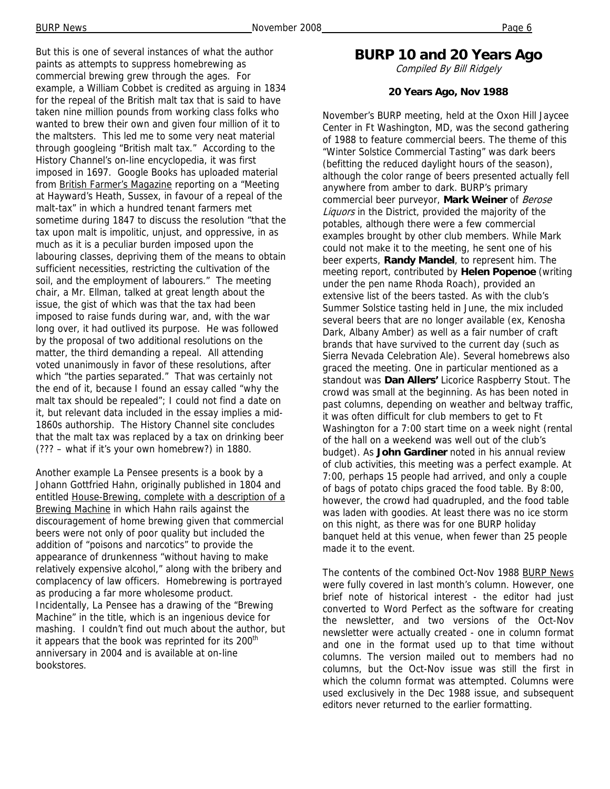But this is one of several instances of what the author paints as attempts to suppress homebrewing as commercial brewing grew through the ages. For example, a William Cobbet is credited as arguing in 1834 for the repeal of the British malt tax that is said to have taken nine million pounds from working class folks who wanted to brew their own and given four million of it to the maltsters. This led me to some very neat material through googleing "British malt tax." According to the History Channel's on-line encyclopedia, it was first imposed in 1697. Google Books has uploaded material from British Farmer's Magazine reporting on a "Meeting at Hayward's Heath, Sussex, in favour of a repeal of the malt-tax" in which a hundred tenant farmers met sometime during 1847 to discuss the resolution "that the tax upon malt is impolitic, unjust, and oppressive, in as much as it is a peculiar burden imposed upon the labouring classes, depriving them of the means to obtain sufficient necessities, restricting the cultivation of the soil, and the employment of labourers." The meeting chair, a Mr. Ellman, talked at great length about the issue, the gist of which was that the tax had been imposed to raise funds during war, and, with the war long over, it had outlived its purpose. He was followed by the proposal of two additional resolutions on the matter, the third demanding a repeal. All attending voted unanimously in favor of these resolutions, after which "the parties separated." That was certainly not the end of it, because I found an essay called "why the malt tax should be repealed"; I could not find a date on it, but relevant data included in the essay implies a mid-1860s authorship. The History Channel site concludes that the malt tax was replaced by a tax on drinking beer (??? – what if it's your own homebrew?) in 1880.

Another example La Pensee presents is a book by a Johann Gottfried Hahn, originally published in 1804 and entitled House-Brewing, complete with a description of a Brewing Machine in which Hahn rails against the discouragement of home brewing given that commercial beers were not only of poor quality but included the addition of "poisons and narcotics" to provide the appearance of drunkenness "without having to make relatively expensive alcohol," along with the bribery and complacency of law officers. Homebrewing is portrayed as producing a far more wholesome product. Incidentally, La Pensee has a drawing of the "Brewing Machine" in the title, which is an ingenious device for mashing. I couldn't find out much about the author, but it appears that the book was reprinted for its 200<sup>th</sup> anniversary in 2004 and is available at on-line bookstores.

## **BURP 10 and 20 Years Ago**

Compiled By Bill Ridgely

#### **20 Years Ago, Nov 1988**

November's BURP meeting, held at the Oxon Hill Jaycee Center in Ft Washington, MD, was the second gathering of 1988 to feature commercial beers. The theme of this "Winter Solstice Commercial Tasting" was dark beers (befitting the reduced daylight hours of the season), although the color range of beers presented actually fell anywhere from amber to dark. BURP's primary commercial beer purveyor, **Mark Weiner** of Berose Liquors in the District, provided the majority of the potables, although there were a few commercial examples brought by other club members. While Mark could not make it to the meeting, he sent one of his beer experts, **Randy Mandel**, to represent him. The meeting report, contributed by **Helen Popenoe** (writing under the pen name Rhoda Roach), provided an extensive list of the beers tasted. As with the club's Summer Solstice tasting held in June, the mix included several beers that are no longer available (ex, Kenosha Dark, Albany Amber) as well as a fair number of craft brands that have survived to the current day (such as Sierra Nevada Celebration Ale). Several homebrews also graced the meeting. One in particular mentioned as a standout was **Dan Allers'** Licorice Raspberry Stout. The crowd was small at the beginning. As has been noted in past columns, depending on weather and beltway traffic, it was often difficult for club members to get to Ft Washington for a 7:00 start time on a week night (rental of the hall on a weekend was well out of the club's budget). As **John Gardiner** noted in his annual review of club activities, this meeting was a perfect example. At 7:00, perhaps 15 people had arrived, and only a couple of bags of potato chips graced the food table. By 8:00, however, the crowd had quadrupled, and the food table was laden with goodies. At least there was no ice storm on this night, as there was for one BURP holiday banquet held at this venue, when fewer than 25 people made it to the event.

The contents of the combined Oct-Nov 1988 BURP News were fully covered in last month's column. However, one brief note of historical interest - the editor had just converted to Word Perfect as the software for creating the newsletter, and two versions of the Oct-Nov newsletter were actually created - one in column format and one in the format used up to that time without columns. The version mailed out to members had no columns, but the Oct-Nov issue was still the first in which the column format was attempted. Columns were used exclusively in the Dec 1988 issue, and subsequent editors never returned to the earlier formatting.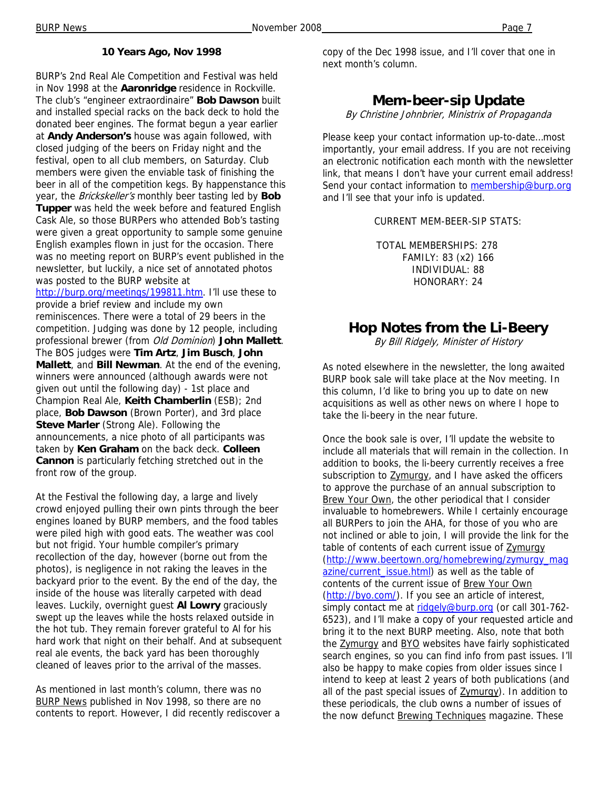#### **10 Years Ago, Nov 1998**

BURP's 2nd Real Ale Competition and Festival was held in Nov 1998 at the **Aaronridge** residence in Rockville. The club's "engineer extraordinaire" **Bob Dawson** built and installed special racks on the back deck to hold the donated beer engines. The format begun a year earlier at **Andy Anderson's** house was again followed, with closed judging of the beers on Friday night and the festival, open to all club members, on Saturday. Club members were given the enviable task of finishing the beer in all of the competition kegs. By happenstance this year, the Brickskeller's monthly beer tasting led by **Bob Tupper** was held the week before and featured English Cask Ale, so those BURPers who attended Bob's tasting were given a great opportunity to sample some genuine English examples flown in just for the occasion. There was no meeting report on BURP's event published in the newsletter, but luckily, a nice set of annotated photos was posted to the BURP website at

http://burp.org/meetings/199811.htm. I'll use these to provide a brief review and include my own reminiscences. There were a total of 29 beers in the competition. Judging was done by 12 people, including professional brewer (from Old Dominion) **John Mallett**. The BOS judges were **Tim Artz**, **Jim Busch**, **John Mallett**, and **Bill Newman**. At the end of the evening, winners were announced (although awards were not given out until the following day) - 1st place and Champion Real Ale, **Keith Chamberlin** (ESB); 2nd place, **Bob Dawson** (Brown Porter), and 3rd place **Steve Marler** (Strong Ale). Following the announcements, a nice photo of all participants was taken by **Ken Graham** on the back deck. **Colleen Cannon** is particularly fetching stretched out in the front row of the group.

At the Festival the following day, a large and lively crowd enjoyed pulling their own pints through the beer engines loaned by BURP members, and the food tables were piled high with good eats. The weather was cool but not frigid. Your humble compiler's primary recollection of the day, however (borne out from the photos), is negligence in not raking the leaves in the backyard prior to the event. By the end of the day, the inside of the house was literally carpeted with dead leaves. Luckily, overnight guest **Al Lowry** graciously swept up the leaves while the hosts relaxed outside in the hot tub. They remain forever grateful to Al for his hard work that night on their behalf. And at subsequent real ale events, the back yard has been thoroughly cleaned of leaves prior to the arrival of the masses.

As mentioned in last month's column, there was no BURP News published in Nov 1998, so there are no contents to report. However, I did recently rediscover a copy of the Dec 1998 issue, and I'll cover that one in next month's column.

### **Mem-beer-sip Update**

By Christine Johnbrier, Ministrix of Propaganda

Please keep your contact information up-to-date…most importantly, your email address. If you are not receiving an electronic notification each month with the newsletter link, that means I don't have your current email address! Send your contact information to membership@burp.org and I'll see that your info is updated.

CURRENT MEM-BEER-SIP STATS:

TOTAL MEMBERSHIPS: 278 FAMILY: 83 (x2) 166 INDIVIDUAL: 88 HONORARY: 24

## **Hop Notes from the Li-Beery**

By Bill Ridgely, Minister of History

As noted elsewhere in the newsletter, the long awaited BURP book sale will take place at the Nov meeting. In this column, I'd like to bring you up to date on new acquisitions as well as other news on where I hope to take the li-beery in the near future.

Once the book sale is over, I'll update the website to include all materials that will remain in the collection. In addition to books, the li-beery currently receives a free subscription to **Zymurgy**, and I have asked the officers to approve the purchase of an annual subscription to Brew Your Own, the other periodical that I consider invaluable to homebrewers. While I certainly encourage all BURPers to join the AHA, for those of you who are not inclined or able to join, I will provide the link for the table of contents of each current issue of Zymurgy (http://www.beertown.org/homebrewing/zymurgy\_mag azine/current\_issue.html) as well as the table of contents of the current issue of Brew Your Own (http://byo.com/). If you see an article of interest, simply contact me at ridgely@burp.org (or call 301-762-6523), and I'll make a copy of your requested article and bring it to the next BURP meeting. Also, note that both the Zymurgy and BYO websites have fairly sophisticated search engines, so you can find info from past issues. I'll also be happy to make copies from older issues since I intend to keep at least 2 years of both publications (and all of the past special issues of **Zymurgy**). In addition to these periodicals, the club owns a number of issues of the now defunct Brewing Techniques magazine. These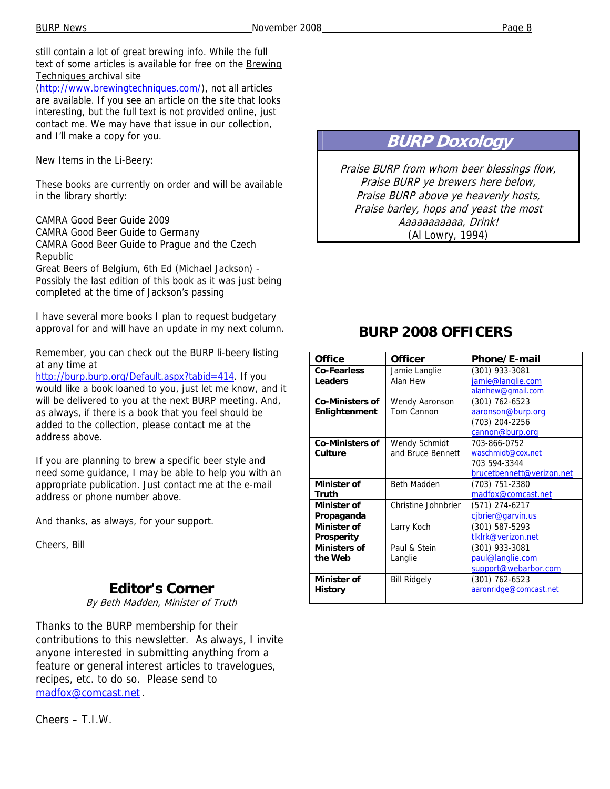still contain a lot of great brewing info. While the full text of some articles is available for free on the Brewing Techniques archival site

(http://www.brewingtechniques.com/), not all articles are available. If you see an article on the site that looks interesting, but the full text is not provided online, just contact me. We may have that issue in our collection, and I'll make a copy for you.

New Items in the Li-Beery:

These books are currently on order and will be available in the library shortly:

CAMRA Good Beer Guide 2009 CAMRA Good Beer Guide to Germany CAMRA Good Beer Guide to Prague and the Czech Republic Great Beers of Belgium, 6th Ed (Michael Jackson) -

Possibly the last edition of this book as it was just being completed at the time of Jackson's passing

I have several more books I plan to request budgetary approval for and will have an update in my next column.

Remember, you can check out the BURP li-beery listing at any time at

http://burp.burp.org/Default.aspx?tabid=414. If you would like a book loaned to you, just let me know, and it will be delivered to you at the next BURP meeting. And, as always, if there is a book that you feel should be added to the collection, please contact me at the address above.

If you are planning to brew a specific beer style and need some guidance, I may be able to help you with an appropriate publication. Just contact me at the e-mail address or phone number above.

And thanks, as always, for your support.

Cheers, Bill

## **Editor's Corner**

By Beth Madden, Minister of Truth

Thanks to the BURP membership for their contributions to this newsletter. As always, I invite anyone interested in submitting anything from a feature or general interest articles to travelogues, recipes, etc. to do so. Please send to madfox@comcast.net.

Cheers – T.I.W.

## **BURP Doxology**

Praise BURP from whom beer blessings flow, Praise BURP ye brewers here below, Praise BURP above ye heavenly hosts, Praise barley, hops and yeast the most Aaaaaaaaaaa, Drink! (Al Lowry, 1994)

## **BURP 2008 OFFICERS**

| <b>Office</b>          | <b>Officer</b>       | Phone/E-mail              |
|------------------------|----------------------|---------------------------|
| <b>Co-Fearless</b>     | Jamie Langlie        | (301) 933-3081            |
| Leaders                | Alan Hew             | jamie@langlie.com         |
|                        |                      | alanhew@qmail.com         |
| <b>Co-Ministers of</b> | Wendy Aaronson       | $(301)$ 762-6523          |
| Enlightenment          | Tom Cannon           | aaronson@burp.org         |
|                        |                      | (703) 204-2256            |
|                        |                      | cannon@burp.org           |
| <b>Co-Ministers of</b> | <b>Wendy Schmidt</b> | 703-866-0752              |
| Culture                | and Bruce Bennett    | waschmidt@cox.net         |
|                        |                      | 703 594-3344              |
|                        |                      | brucetbennett@verizon.net |
| <b>Minister of</b>     | <b>Beth Madden</b>   | (703) 751-2380            |
| Truth                  |                      | madfox@comcast.net        |
| Minister of            | Christine Johnbrier  | (571) 274-6217            |
| Propaganda             |                      | cibrier@garvin.us         |
| <b>Minister of</b>     | Larry Koch           | (301) 587-5293            |
| <b>Prosperity</b>      |                      | tlklrk@verizon.net        |
| <b>Ministers of</b>    | Paul & Stein         | (301) 933-3081            |
| the Web                | Langlie              | paul@langlie.com          |
|                        |                      | support@webarbor.com      |
| Minister of            | <b>Bill Ridgely</b>  | (301) 762-6523            |
| <b>History</b>         |                      | aaronridge@comcast.net    |
|                        |                      |                           |